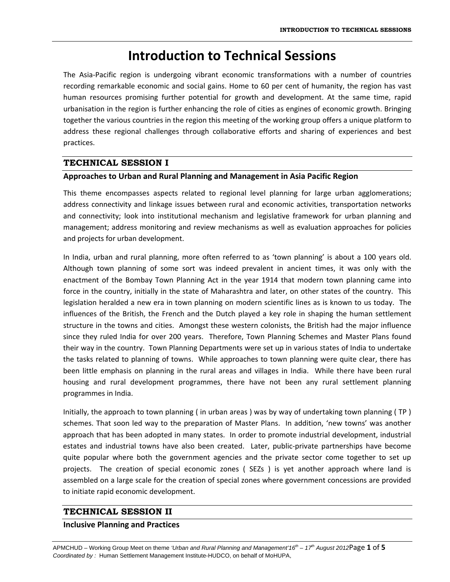## **Introduction to Technical Sessions**

The Asia‐Pacific region is undergoing vibrant economic transformations with a number of countries recording remarkable economic and social gains. Home to 60 per cent of humanity, the region has vast human resources promising further potential for growth and development. At the same time, rapid urbanisation in the region is further enhancing the role of cities as engines of economic growth. Bringing together the various countries in the region this meeting of the working group offers a unique platform to address these regional challenges through collaborative efforts and sharing of experiences and best practices.

## **TECHNICAL SESSION I**

## **Approaches to Urban and Rural Planning and Management in Asia Pacific Region**

This theme encompasses aspects related to regional level planning for large urban agglomerations; address connectivity and linkage issues between rural and economic activities, transportation networks and connectivity; look into institutional mechanism and legislative framework for urban planning and management; address monitoring and review mechanisms as well as evaluation approaches for policies and projects for urban development.

In India, urban and rural planning, more often referred to as 'town planning' is about a 100 years old. Although town planning of some sort was indeed prevalent in ancient times, it was only with the enactment of the Bombay Town Planning Act in the year 1914 that modern town planning came into force in the country, initially in the state of Maharashtra and later, on other states of the country. This legislation heralded a new era in town planning on modern scientific lines as is known to us today. The influences of the British, the French and the Dutch played a key role in shaping the human settlement structure in the towns and cities. Amongst these western colonists, the British had the major influence since they ruled India for over 200 years. Therefore, Town Planning Schemes and Master Plans found their way in the country. Town Planning Departments were set up in various states of India to undertake the tasks related to planning of towns. While approaches to town planning were quite clear, there has been little emphasis on planning in the rural areas and villages in India. While there have been rural housing and rural development programmes, there have not been any rural settlement planning programmes in India.

Initially, the approach to town planning ( in urban areas ) was by way of undertaking town planning ( TP ) schemes. That soon led way to the preparation of Master Plans. In addition, 'new towns' was another approach that has been adopted in many states. In order to promote industrial development, industrial estates and industrial towns have also been created. Later, public-private partnerships have become quite popular where both the government agencies and the private sector come together to set up projects. The creation of special economic zones (SEZs) is yet another approach where land is assembled on a large scale for the creation of special zones where government concessions are provided to initiate rapid economic development.

## **TECHNICAL SESSION II**

#### **Inclusive Planning and Practices**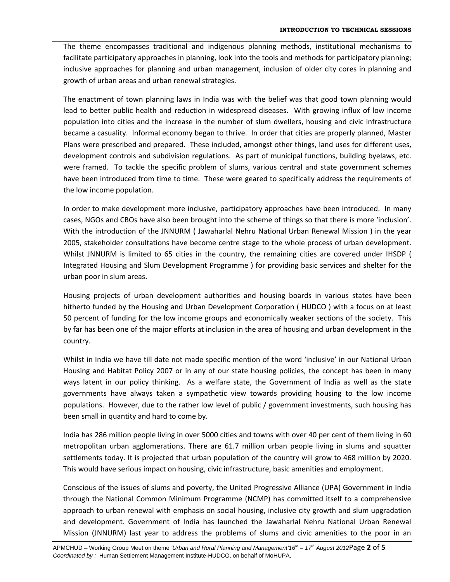The theme encompasses traditional and indigenous planning methods, institutional mechanisms to facilitate participatory approaches in planning, look into the tools and methods for participatory planning; inclusive approaches for planning and urban management, inclusion of older city cores in planning and growth of urban areas and urban renewal strategies.

The enactment of town planning laws in India was with the belief was that good town planning would lead to better public health and reduction in widespread diseases. With growing influx of low income population into cities and the increase in the number of slum dwellers, housing and civic infrastructure became a casuality. Informal economy began to thrive. In order that cities are properly planned, Master Plans were prescribed and prepared. These included, amongst other things, land uses for different uses, development controls and subdivision regulations. As part of municipal functions, building byelaws, etc. were framed. To tackle the specific problem of slums, various central and state government schemes have been introduced from time to time. These were geared to specifically address the requirements of the low income population.

In order to make development more inclusive, participatory approaches have been introduced. In many cases, NGOs and CBOs have also been brought into the scheme of things so that there is more 'inclusion'. With the introduction of the JNNURM ( Jawaharlal Nehru National Urban Renewal Mission ) in the year 2005, stakeholder consultations have become centre stage to the whole process of urban development. Whilst JNNURM is limited to 65 cities in the country, the remaining cities are covered under IHSDP ( Integrated Housing and Slum Development Programme ) for providing basic services and shelter for the urban poor in slum areas.

Housing projects of urban development authorities and housing boards in various states have been hitherto funded by the Housing and Urban Development Corporation ( HUDCO ) with a focus on at least 50 percent of funding for the low income groups and economically weaker sections of the society. This by far has been one of the major efforts at inclusion in the area of housing and urban development in the country.

Whilst in India we have till date not made specific mention of the word 'inclusive' in our National Urban Housing and Habitat Policy 2007 or in any of our state housing policies, the concept has been in many ways latent in our policy thinking. As a welfare state, the Government of India as well as the state governments have always taken a sympathetic view towards providing housing to the low income populations. However, due to the rather low level of public / government investments, such housing has been small in quantity and hard to come by.

India has 286 million people living in over 5000 cities and towns with over 40 per cent of them living in 60 metropolitan urban agglomerations. There are 61.7 million urban people living in slums and squatter settlements today. It is projected that urban population of the country will grow to 468 million by 2020. This would have serious impact on housing, civic infrastructure, basic amenities and employment.

Conscious of the issues of slums and poverty, the United Progressive Alliance (UPA) Government in India through the National Common Minimum Programme (NCMP) has committed itself to a comprehensive approach to urban renewal with emphasis on social housing, inclusive city growth and slum upgradation and development. Government of India has launched the Jawaharlal Nehru National Urban Renewal Mission (JNNURM) last year to address the problems of slums and civic amenities to the poor in an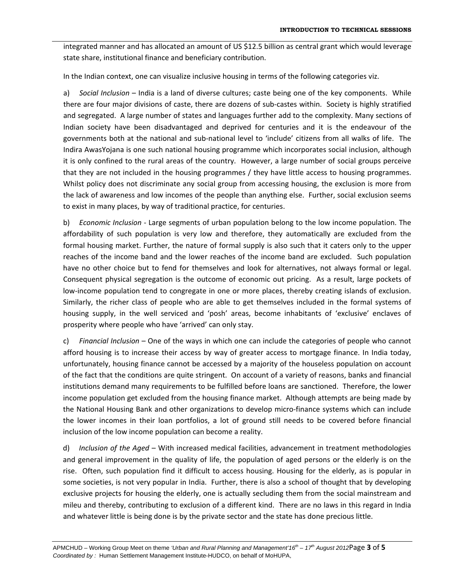integrated manner and has allocated an amount of US \$12.5 billion as central grant which would leverage state share, institutional finance and beneficiary contribution.

In the Indian context, one can visualize inclusive housing in terms of the following categories viz.

a) *Social Inclusion* – India is a land of diverse cultures; caste being one of the key components. While there are four major divisions of caste, there are dozens of sub‐castes within. Society is highly stratified and segregated. A large number of states and languages further add to the complexity. Many sections of Indian society have been disadvantaged and deprived for centuries and it is the endeavour of the governments both at the national and sub‐national level to 'include' citizens from all walks of life. The Indira AwasYojana is one such national housing programme which incorporates social inclusion, although it is only confined to the rural areas of the country. However, a large number of social groups perceive that they are not included in the housing programmes / they have little access to housing programmes. Whilst policy does not discriminate any social group from accessing housing, the exclusion is more from the lack of awareness and low incomes of the people than anything else. Further, social exclusion seems to exist in many places, by way of traditional practice, for centuries.

b) *Economic Inclusion* ‐ Large segments of urban population belong to the low income population. The affordability of such population is very low and therefore, they automatically are excluded from the formal housing market. Further, the nature of formal supply is also such that it caters only to the upper reaches of the income band and the lower reaches of the income band are excluded. Such population have no other choice but to fend for themselves and look for alternatives, not always formal or legal. Consequent physical segregation is the outcome of economic out pricing. As a result, large pockets of low-income population tend to congregate in one or more places, thereby creating islands of exclusion. Similarly, the richer class of people who are able to get themselves included in the formal systems of housing supply, in the well serviced and 'posh' areas, become inhabitants of 'exclusive' enclaves of prosperity where people who have 'arrived' can only stay.

c) *Financial Inclusion* – One of the ways in which one can include the categories of people who cannot afford housing is to increase their access by way of greater access to mortgage finance. In India today, unfortunately, housing finance cannot be accessed by a majority of the houseless population on account of the fact that the conditions are quite stringent. On account of a variety of reasons, banks and financial institutions demand many requirements to be fulfilled before loans are sanctioned. Therefore, the lower income population get excluded from the housing finance market. Although attempts are being made by the National Housing Bank and other organizations to develop micro‐finance systems which can include the lower incomes in their loan portfolios, a lot of ground still needs to be covered before financial inclusion of the low income population can become a reality.

d) *Inclusion of the Aged* – With increased medical facilities, advancement in treatment methodologies and general improvement in the quality of life, the population of aged persons or the elderly is on the rise. Often, such population find it difficult to access housing. Housing for the elderly, as is popular in some societies, is not very popular in India. Further, there is also a school of thought that by developing exclusive projects for housing the elderly, one is actually secluding them from the social mainstream and mileu and thereby, contributing to exclusion of a different kind. There are no laws in this regard in India and whatever little is being done is by the private sector and the state has done precious little.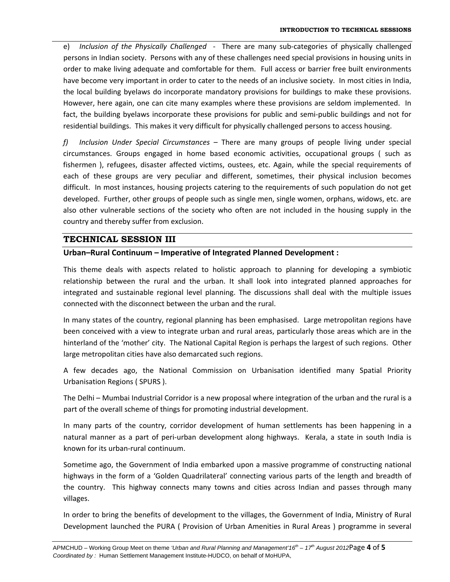e) *Inclusion of the Physically Challenged* ‐ There are many sub‐categories of physically challenged persons in Indian society. Persons with any of these challenges need special provisions in housing units in order to make living adequate and comfortable for them. Full access or barrier free built environments have become very important in order to cater to the needs of an inclusive society. In most cities in India, the local building byelaws do incorporate mandatory provisions for buildings to make these provisions. However, here again, one can cite many examples where these provisions are seldom implemented. In fact, the building byelaws incorporate these provisions for public and semi‐public buildings and not for residential buildings. This makes it very difficult for physically challenged persons to access housing.

*f) Inclusion Under Special Circumstances –* There are many groups of people living under special circumstances. Groups engaged in home based economic activities, occupational groups ( such as fishermen ), refugees, disaster affected victims, oustees, etc. Again, while the special requirements of each of these groups are very peculiar and different, sometimes, their physical inclusion becomes difficult. In most instances, housing projects catering to the requirements of such population do not get developed. Further, other groups of people such as single men, single women, orphans, widows, etc. are also other vulnerable sections of the society who often are not included in the housing supply in the country and thereby suffer from exclusion.

## **TECHNICAL SESSION III**

## **Urban–Rural Continuum – Imperative of Integrated Planned Development :**

This theme deals with aspects related to holistic approach to planning for developing a symbiotic relationship between the rural and the urban. It shall look into integrated planned approaches for integrated and sustainable regional level planning. The discussions shall deal with the multiple issues connected with the disconnect between the urban and the rural.

In many states of the country, regional planning has been emphasised. Large metropolitan regions have been conceived with a view to integrate urban and rural areas, particularly those areas which are in the hinterland of the 'mother' city. The National Capital Region is perhaps the largest of such regions. Other large metropolitan cities have also demarcated such regions.

A few decades ago, the National Commission on Urbanisation identified many Spatial Priority Urbanisation Regions ( SPURS ).

The Delhi – Mumbai Industrial Corridor is a new proposal where integration of the urban and the rural is a part of the overall scheme of things for promoting industrial development.

In many parts of the country, corridor development of human settlements has been happening in a natural manner as a part of peri-urban development along highways. Kerala, a state in south India is known for its urban‐rural continuum.

Sometime ago, the Government of India embarked upon a massive programme of constructing national highways in the form of a 'Golden Quadrilateral' connecting various parts of the length and breadth of the country. This highway connects many towns and cities across Indian and passes through many villages.

In order to bring the benefits of development to the villages, the Government of India, Ministry of Rural Development launched the PURA ( Provision of Urban Amenities in Rural Areas ) programme in several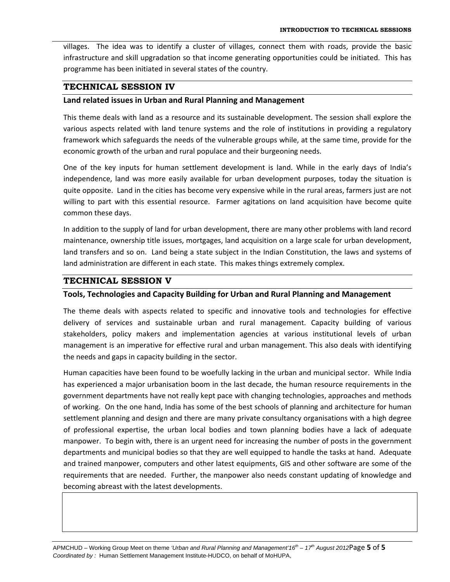villages. The idea was to identify a cluster of villages, connect them with roads, provide the basic infrastructure and skill upgradation so that income generating opportunities could be initiated. This has programme has been initiated in several states of the country.

### **TECHNICAL SESSION IV**

#### **Land related issues in Urban and Rural Planning and Management**

This theme deals with land as a resource and its sustainable development. The session shall explore the various aspects related with land tenure systems and the role of institutions in providing a regulatory framework which safeguards the needs of the vulnerable groups while, at the same time, provide for the economic growth of the urban and rural populace and their burgeoning needs.

One of the key inputs for human settlement development is land. While in the early days of India's independence, land was more easily available for urban development purposes, today the situation is quite opposite. Land in the cities has become very expensive while in the rural areas, farmers just are not willing to part with this essential resource. Farmer agitations on land acquisition have become quite common these days.

In addition to the supply of land for urban development, there are many other problems with land record maintenance, ownership title issues, mortgages, land acquisition on a large scale for urban development, land transfers and so on. Land being a state subject in the Indian Constitution, the laws and systems of land administration are different in each state. This makes things extremely complex.

## **TECHNICAL SESSION V**

#### **Tools, Technologies and Capacity Building for Urban and Rural Planning and Management**

The theme deals with aspects related to specific and innovative tools and technologies for effective delivery of services and sustainable urban and rural management. Capacity building of various stakeholders, policy makers and implementation agencies at various institutional levels of urban management is an imperative for effective rural and urban management. This also deals with identifying the needs and gaps in capacity building in the sector.

Human capacities have been found to be woefully lacking in the urban and municipal sector. While India has experienced a major urbanisation boom in the last decade, the human resource requirements in the government departments have not really kept pace with changing technologies, approaches and methods of working. On the one hand, India has some of the best schools of planning and architecture for human settlement planning and design and there are many private consultancy organisations with a high degree of professional expertise, the urban local bodies and town planning bodies have a lack of adequate manpower. To begin with, there is an urgent need for increasing the number of posts in the government departments and municipal bodies so that they are well equipped to handle the tasks at hand. Adequate and trained manpower, computers and other latest equipments, GIS and other software are some of the requirements that are needed. Further, the manpower also needs constant updating of knowledge and becoming abreast with the latest developments.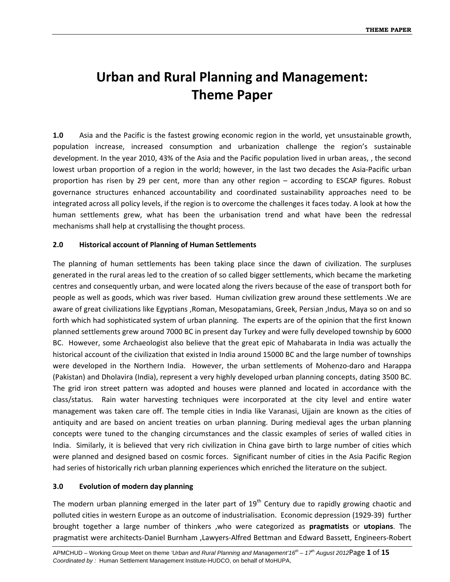# **Urban and Rural Planning and Management: Theme Paper**

**1.0** Asia and the Pacific is the fastest growing economic region in the world, yet unsustainable growth, population increase, increased consumption and urbanization challenge the region's sustainable development. In the year 2010, 43% of the Asia and the Pacific population lived in urban areas, , the second lowest urban proportion of a region in the world; however, in the last two decades the Asia‐Pacific urban proportion has risen by 29 per cent, more than any other region – according to ESCAP figures. Robust governance structures enhanced accountability and coordinated sustainability approaches need to be integrated across all policy levels, if the region is to overcome the challenges it faces today. A look at how the human settlements grew, what has been the urbanisation trend and what have been the redressal mechanisms shall help at crystallising the thought process.

## **2.0 Historical account of Planning of Human Settlements**

The planning of human settlements has been taking place since the dawn of civilization. The surpluses generated in the rural areas led to the creation of so called bigger settlements, which became the marketing centres and consequently urban, and were located along the rivers because of the ease of transport both for people as well as goods, which was river based. Human civilization grew around these settlements .We are aware of great civilizations like Egyptians ,Roman, Mesopatamians, Greek, Persian ,Indus, Maya so on and so forth which had sophisticated system of urban planning. The experts are of the opinion that the first known planned settlements grew around 7000 BC in present day Turkey and were fully developed township by 6000 BC. However, some Archaeologist also believe that the great epic of Mahabarata in India was actually the historical account of the civilization that existed in India around 15000 BC and the large number of townships were developed in the Northern India. However, the urban settlements of Mohenzo-daro and Harappa (Pakistan) and Dholavira (India), represent a very highly developed urban planning concepts, dating 3500 BC. The grid iron street pattern was adopted and houses were planned and located in accordance with the class/status. Rain water harvesting techniques were incorporated at the city level and entire water management was taken care off. The temple cities in India like Varanasi, Ujjain are known as the cities of antiquity and are based on ancient treaties on urban planning. During medieval ages the urban planning concepts were tuned to the changing circumstances and the classic examples of series of walled cities in India. Similarly, it is believed that very rich civilization in China gave birth to large number of cities which were planned and designed based on cosmic forces. Significant number of cities in the Asia Pacific Region had series of historically rich urban planning experiences which enriched the literature on the subject.

#### **3.0 Evolution of modern day planning**

The modern urban planning emerged in the later part of  $19<sup>th</sup>$  Century due to rapidly growing chaotic and polluted cities in western Europe as an outcome of industrialisation. Economic depression (1929‐39) further brought together a large number of thinkers ,who were categorized as **pragmatists** or **utopians**. The pragmatist were architects‐Daniel Burnham ,Lawyers‐Alfred Bettman and Edward Bassett, Engineers‐Robert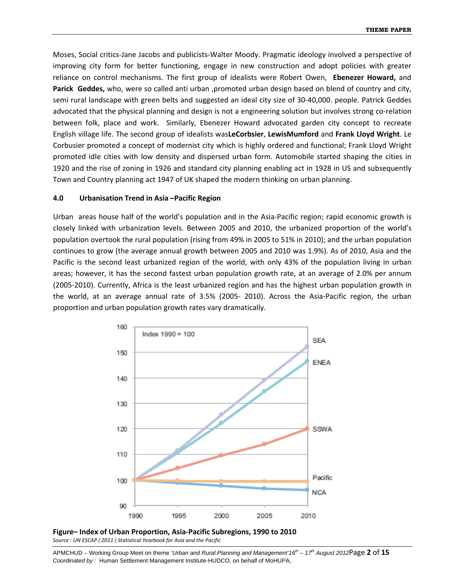Moses, Social critics‐Jane Jacobs and publicists‐Walter Moody. Pragmatic ideology involved a perspective of improving city form for better functioning, engage in new construction and adopt policies with greater reliance on control mechanisms. The first group of idealists were Robert Owen, **Ebenezer Howard,** and **Parick** Geddes, who, were so called anti urban ,promoted urban design based on blend of country and city, semi rural landscape with green belts and suggested an ideal city size of 30‐40,000. people. Patrick Geddes advocated that the physical planning and design is not a engineering solution but involves strong co-relation between folk, place and work. Similarly, Ebenezer Howard advocated garden city concept to recreate English village life. The second group of idealists was**LeCorbsier**, **LewisMumford** and **Frank Lloyd Wright**. Le Corbusier promoted a concept of modernist city which is highly ordered and functional; Frank Lloyd Wright promoted idle cities with low density and dispersed urban form. Automobile started shaping the cities in 1920 and the rise of zoning in 1926 and standard city planning enabling act in 1928 in US and subsequently Town and Country planning act 1947 of UK shaped the modern thinking on urban planning.

#### **4.0 Urbanisation Trend in Asia –Pacific Region**

Urban areas house half of the world's population and in the Asia‐Pacific region; rapid economic growth is closely linked with urbanization levels. Between 2005 and 2010, the urbanized proportion of the world's population overtook the rural population (rising from 49% in 2005 to 51% in 2010); and the urban population continues to grow (the average annual growth between 2005 and 2010 was 1.9%). As of 2010, Asia and the Pacific is the second least urbanized region of the world, with only 43% of the population living in urban areas; however, it has the second fastest urban population growth rate, at an average of 2.0% per annum (2005‐2010). Currently, Africa is the least urbanized region and has the highest urban population growth in the world, at an average annual rate of 3.5% (2005‐ 2010). Across the Asia‐Pacific region, the urban proportion and urban population growth rates vary dramatically.





APMCHUD – Working Group Meet on theme *'Urban and Rural Planning and Management'16th – 17th August 2012*Page **2** of **15** *Coordinated by :* Human Settlement Management Institute-HUDCO, on behalf of MoHUPA,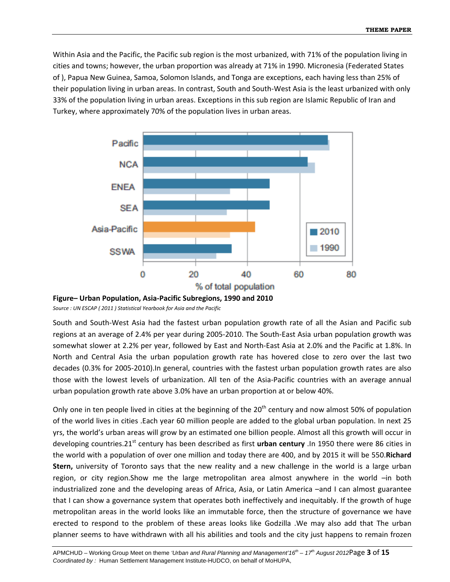Within Asia and the Pacific, the Pacific sub region is the most urbanized, with 71% of the population living in cities and towns; however, the urban proportion was already at 71% in 1990. Micronesia (Federated States of ), Papua New Guinea, Samoa, Solomon Islands, and Tonga are exceptions, each having less than 25% of their population living in urban areas. In contrast, South and South‐West Asia is the least urbanized with only 33% of the population living in urban areas. Exceptions in this sub region are Islamic Republic of Iran and Turkey, where approximately 70% of the population lives in urban areas.





*Source : UN ESCAP ( 2011 ) Statistical Yearbook for Asia and the Pacific*

South and South‐West Asia had the fastest urban population growth rate of all the Asian and Pacific sub regions at an average of 2.4% per year during 2005‐2010. The South‐East Asia urban population growth was somewhat slower at 2.2% per year, followed by East and North‐East Asia at 2.0% and the Pacific at 1.8%. In North and Central Asia the urban population growth rate has hovered close to zero over the last two decades (0.3% for 2005‐2010).In general, countries with the fastest urban population growth rates are also those with the lowest levels of urbanization. All ten of the Asia‐Pacific countries with an average annual urban population growth rate above 3.0% have an urban proportion at or below 40%.

Only one in ten people lived in cities at the beginning of the 20<sup>th</sup> century and now almost 50% of population of the world lives in cities .Each year 60 million people are added to the global urban population. In next 25 yrs, the world's urban areas will grow by an estimated one billion people. Almost all this growth will occur in developing countries.21st century has been described as first **urban century** .In 1950 there were 86 cities in the world with a population of over one million and today there are 400, and by 2015 it will be 550.**Richard Stern,** university of Toronto says that the new reality and a new challenge in the world is a large urban region, or city region.Show me the large metropolitan area almost anywhere in the world –in both industrialized zone and the developing areas of Africa, Asia, or Latin America –and I can almost guarantee that I can show a governance system that operates both ineffectively and inequitably. If the growth of huge metropolitan areas in the world looks like an immutable force, then the structure of governance we have erected to respond to the problem of these areas looks like Godzilla .We may also add that The urban planner seems to have withdrawn with all his abilities and tools and the city just happens to remain frozen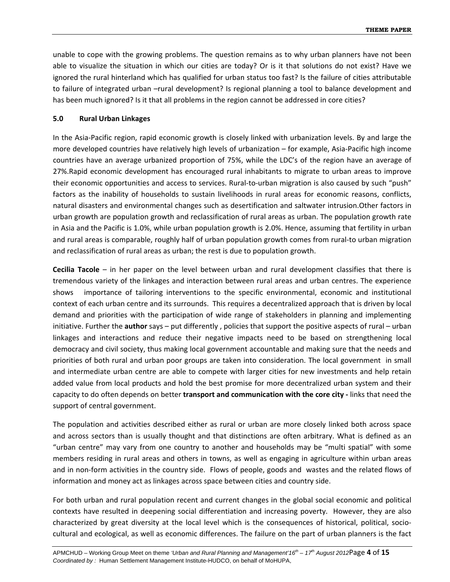unable to cope with the growing problems. The question remains as to why urban planners have not been able to visualize the situation in which our cities are today? Or is it that solutions do not exist? Have we ignored the rural hinterland which has qualified for urban status too fast? Is the failure of cities attributable to failure of integrated urban –rural development? Is regional planning a tool to balance development and has been much ignored? Is it that all problems in the region cannot be addressed in core cities?

#### **5.0 Rural Urban Linkages**

In the Asia‐Pacific region, rapid economic growth is closely linked with urbanization levels. By and large the more developed countries have relatively high levels of urbanization – for example, Asia‐Pacific high income countries have an average urbanized proportion of 75%, while the LDC's of the region have an average of 27%.Rapid economic development has encouraged rural inhabitants to migrate to urban areas to improve their economic opportunities and access to services. Rural‐to‐urban migration is also caused by such "push" factors as the inability of households to sustain livelihoods in rural areas for economic reasons, conflicts, natural disasters and environmental changes such as desertification and saltwater intrusion.Other factors in urban growth are population growth and reclassification of rural areas as urban. The population growth rate in Asia and the Pacific is 1.0%, while urban population growth is 2.0%. Hence, assuming that fertility in urban and rural areas is comparable, roughly half of urban population growth comes from rural‐to urban migration and reclassification of rural areas as urban; the rest is due to population growth.

**Cecilia Tacole** – in her paper on the level between urban and rural development classifies that there is tremendous variety of the linkages and interaction between rural areas and urban centres. The experience shows importance of tailoring interventions to the specific environmental, economic and institutional context of each urban centre and its surrounds. This requires a decentralized approach that is driven by local demand and priorities with the participation of wide range of stakeholders in planning and implementing initiative. Further the **author** says – put differently , policies that support the positive aspects of rural – urban linkages and interactions and reduce their negative impacts need to be based on strengthening local democracy and civil society, thus making local government accountable and making sure that the needs and priorities of both rural and urban poor groups are taken into consideration. The local government in small and intermediate urban centre are able to compete with larger cities for new investments and help retain added value from local products and hold the best promise for more decentralized urban system and their capacity to do often depends on better **transport and communication with the core city ‐** links that need the support of central government.

The population and activities described either as rural or urban are more closely linked both across space and across sectors than is usually thought and that distinctions are often arbitrary. What is defined as an "urban centre" may vary from one country to another and households may be "multi spatial" with some members residing in rural areas and others in towns, as well as engaging in agriculture within urban areas and in non‐form activities in the country side. Flows of people, goods and wastes and the related flows of information and money act as linkages across space between cities and country side.

For both urban and rural population recent and current changes in the global social economic and political contexts have resulted in deepening social differentiation and increasing poverty. However, they are also characterized by great diversity at the local level which is the consequences of historical, political, socio‐ cultural and ecological, as well as economic differences. The failure on the part of urban planners is the fact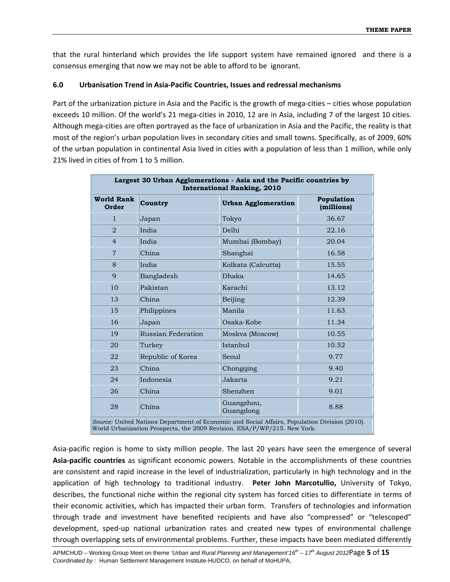that the rural hinterland which provides the life support system have remained ignored and there is a consensus emerging that now we may not be able to afford to be ignorant.

#### **6.0 Urbanisation Trend in Asia‐Pacific Countries, Issues and redressal mechanisms**

Part of the urbanization picture in Asia and the Pacific is the growth of mega-cities – cities whose population exceeds 10 million. Of the world's 21 mega-cities in 2010, 12 are in Asia, including 7 of the largest 10 cities. Although mega‐cities are often portrayed as the face of urbanization in Asia and the Pacific, the reality is that most of the region's urban population lives in secondary cities and small towns. Specifically, as of 2009, 60% of the urban population in continental Asia lived in cities with a population of less than 1 million, while only 21% lived in cities of from 1 to 5 million.

| Largest 30 Urban Agglomerations - Asia and the Pacific countries by<br><b>International Ranking, 2010</b> |                    |                            |                          |
|-----------------------------------------------------------------------------------------------------------|--------------------|----------------------------|--------------------------|
| <b>World Rank</b><br>Order                                                                                | Country            | <b>Urban Agglomeration</b> | Population<br>(millions) |
| $\mathbf{1}$                                                                                              | Japan              | Tokyo                      | 36.67                    |
| $\overline{2}$                                                                                            | India              | Delhi                      | 22.16                    |
| $\overline{4}$                                                                                            | India              | Mumbai (Bombay)            | 20.04                    |
| $\overline{7}$                                                                                            | China              | Shanghai                   | 16.58                    |
| 8                                                                                                         | India              | Kolkata (Calcutta)         | 15.55                    |
| 9                                                                                                         | Bangladesh         | <b>Dhaka</b>               | 14.65                    |
| 10                                                                                                        | Pakistan           | Karachi                    | 13.12                    |
| 13                                                                                                        | China              | Beijing                    | 12.39                    |
| 15                                                                                                        | Philippines        | Manila                     | 11.63                    |
| 16                                                                                                        | Japan              | Osaka-Kobe                 | 11.34                    |
| 19                                                                                                        | Russian Federation | Moskva (Moscow)            | 10.55                    |
| 20                                                                                                        | Turkey             | Istanbul                   | 10.52                    |
| 22                                                                                                        | Republic of Korea  | Seoul                      | 9.77                     |
| 23                                                                                                        | China              | Chongqing                  | 9.40                     |
| 24                                                                                                        | Indonesia          | Jakarta                    | 9.21                     |
| 26                                                                                                        | China              | Shenzhen                   | 9.01                     |
| 28                                                                                                        | China              | Guangzhou,<br>Guangdong    | 8.88                     |
| Source: United Nations Department of Economic and Social Affairs, Population Division (2010).             |                    |                            |                          |

World Urbanization Prospects, the 2009 Revision. ESA/P/WP/215. New York.

Asia‐pacific region is home to sixty million people. The last 20 years have seen the emergence of several **Asia‐pacific countries** as significant economic powers. Notable in the accomplishments of these countries are consistent and rapid increase in the level of industrialization, particularly in high technology and in the application of high technology to traditional industry. **Peter John Marcotullio,** University of Tokyo, describes, the functional niche within the regional city system has forced cities to differentiate in terms of their economic activities, which has impacted their urban form. Transfers of technologies and information through trade and investment have benefited recipients and have also "compressed" or "telescoped" development, sped‐up national urbanization rates and created new types of environmental challenge through overlapping sets of environmental problems. Further, these impacts have been mediated differently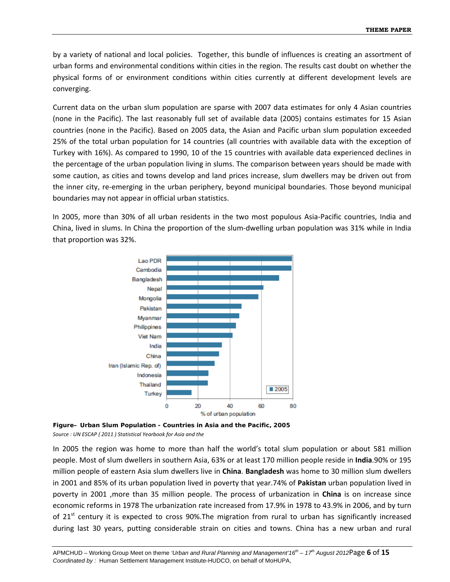by a variety of national and local policies. Together, this bundle of influences is creating an assortment of urban forms and environmental conditions within cities in the region. The results cast doubt on whether the physical forms of or environment conditions within cities currently at different development levels are converging.

Current data on the urban slum population are sparse with 2007 data estimates for only 4 Asian countries (none in the Pacific). The last reasonably full set of available data (2005) contains estimates for 15 Asian countries (none in the Pacific). Based on 2005 data, the Asian and Pacific urban slum population exceeded 25% of the total urban population for 14 countries (all countries with available data with the exception of Turkey with 16%). As compared to 1990, 10 of the 15 countries with available data experienced declines in the percentage of the urban population living in slums. The comparison between years should be made with some caution, as cities and towns develop and land prices increase, slum dwellers may be driven out from the inner city, re‐emerging in the urban periphery, beyond municipal boundaries. Those beyond municipal boundaries may not appear in official urban statistics.

In 2005, more than 30% of all urban residents in the two most populous Asia‐Pacific countries, India and China, lived in slums. In China the proportion of the slum‐dwelling urban population was 31% while in India that proportion was 32%.





In 2005 the region was home to more than half the world's total slum population or about 581 million people. Most of slum dwellers in southern Asia, 63% or at least 170 million people reside in **India**.90% or 195 million people of eastern Asia slum dwellers live in **China**. **Bangladesh** was home to 30 million slum dwellers in 2001 and 85% of its urban population lived in poverty that year.74% of **Pakistan** urban population lived in poverty in 2001 ,more than 35 million people. The process of urbanization in **China** is on increase since economic reforms in 1978 The urbanization rate increased from 17.9% in 1978 to 43.9% in 2006, and by turn of 21<sup>st</sup> century it is expected to cross 90%. The migration from rural to urban has significantly increased during last 30 years, putting considerable strain on cities and towns. China has a new urban and rural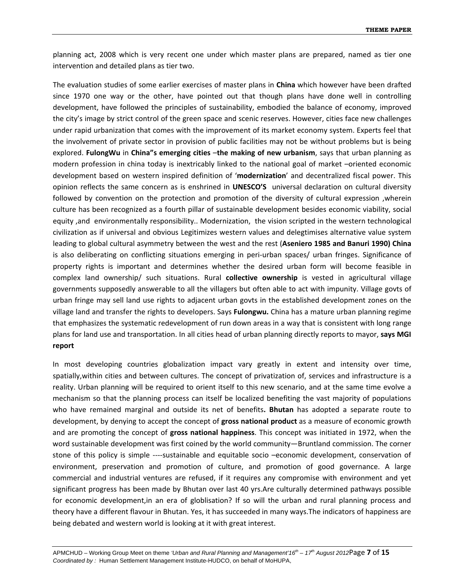planning act, 2008 which is very recent one under which master plans are prepared, named as tier one intervention and detailed plans as tier two.

The evaluation studies of some earlier exercises of master plans in **China** which however have been drafted since 1970 one way or the other, have pointed out that though plans have done well in controlling development, have followed the principles of sustainability, embodied the balance of economy, improved the city's image by strict control of the green space and scenic reserves. However, cities face new challenges under rapid urbanization that comes with the improvement of its market economy system. Experts feel that the involvement of private sector in provision of public facilities may not be without problems but is being explored. **FulongWu** in **China"s emerging cities** –**the making of new urbanism**, says that urban planning as modern profession in china today is inextricably linked to the national goal of market –oriented economic development based on western inspired definition of '**modernization**' and decentralized fiscal power. This opinion reflects the same concern as is enshrined in **UNESCO'S** universal declaration on cultural diversity followed by convention on the protection and promotion of the diversity of cultural expression ,wherein culture has been recognized as a fourth pillar of sustainable development besides economic viability, social equity ,and environmentally responsibility.. Modernization, the vision scripted in the western technological civilization as if universal and obvious Legitimizes western values and delegtimises alternative value system leading to global cultural asymmetry between the west and the rest (**Aseniero 1985 and Banuri 1990) China** is also deliberating on conflicting situations emerging in peri-urban spaces/ urban fringes. Significance of property rights is important and determines whether the desired urban form will become feasible in complex land ownership/ such situations. Rural **collective ownership** is vested in agricultural village governments supposedly answerable to all the villagers but often able to act with impunity. Village govts of urban fringe may sell land use rights to adjacent urban govts in the established development zones on the village land and transfer the rights to developers. Says **Fulongwu.** China has a mature urban planning regime that emphasizes the systematic redevelopment of run down areas in a way that is consistent with long range plans for land use and transportation. In all cities head of urban planning directly reports to mayor, **says MGI report**

In most developing countries globalization impact vary greatly in extent and intensity over time, spatially,within cities and between cultures. The concept of privatization of, services and infrastructure is a reality. Urban planning will be required to orient itself to this new scenario, and at the same time evolve a mechanism so that the planning process can itself be localized benefiting the vast majority of populations who have remained marginal and outside its net of benefits**. Bhutan** has adopted a separate route to development, by denying to accept the concept of **gross national product** as a measure of economic growth and are promoting the concept of **gross national happiness**. This concept was initiated in 1972, when the word sustainable development was first coined by the world community—Bruntland commission. The corner stone of this policy is simple ‐‐‐‐sustainable and equitable socio –economic development, conservation of environment, preservation and promotion of culture, and promotion of good governance. A large commercial and industrial ventures are refused, if it requires any compromise with environment and yet significant progress has been made by Bhutan over last 40 yrs.Are culturally determined pathways possible for economic development,in an era of globlisation? If so will the urban and rural planning process and theory have a different flavour in Bhutan. Yes, it has succeeded in many ways.The indicators of happiness are being debated and western world is looking at it with great interest.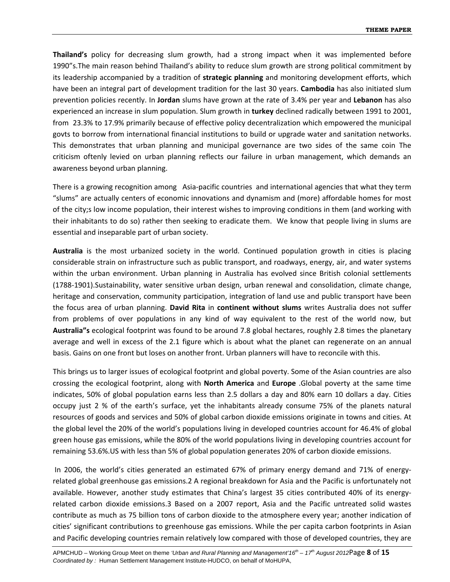**Thailand's** policy for decreasing slum growth, had a strong impact when it was implemented before 1990"s.The main reason behind Thailand's ability to reduce slum growth are strong political commitment by its leadership accompanied by a tradition of **strategic planning** and monitoring development efforts, which have been an integral part of development tradition for the last 30 years. **Cambodia** has also initiated slum prevention policies recently. In **Jordan** slums have grown at the rate of 3.4% per year and **Lebanon** has also experienced an increase in slum population. Slum growth in **turkey** declined radically between 1991 to 2001, from 23.3% to 17.9% primarily because of effective policy decentralization which empowered the municipal govts to borrow from international financial institutions to build or upgrade water and sanitation networks. This demonstrates that urban planning and municipal governance are two sides of the same coin The criticism oftenly levied on urban planning reflects our failure in urban management, which demands an awareness beyond urban planning.

There is a growing recognition among Asia‐pacific countries and international agencies that what they term "slums" are actually centers of economic innovations and dynamism and (more) affordable homes for most of the city;s low income population, their interest wishes to improving conditions in them (and working with their inhabitants to do so) rather then seeking to eradicate them. We know that people living in slums are essential and inseparable part of urban society.

**Australia** is the most urbanized society in the world. Continued population growth in cities is placing considerable strain on infrastructure such as public transport, and roadways, energy, air, and water systems within the urban environment. Urban planning in Australia has evolved since British colonial settlements (1788‐1901).Sustainability, water sensitive urban design, urban renewal and consolidation, climate change, heritage and conservation, community participation, integration of land use and public transport have been the focus area of urban planning. **David Rita** in **continent without slums** writes Australia does not suffer from problems of over populations in any kind of way equivalent to the rest of the world now, but **Australia"s** ecological footprint was found to be around 7.8 global hectares, roughly 2.8 times the planetary average and well in excess of the 2.1 figure which is about what the planet can regenerate on an annual basis. Gains on one front but loses on another front. Urban planners will have to reconcile with this.

This brings us to larger issues of ecological footprint and global poverty. Some of the Asian countries are also crossing the ecological footprint, along with **North America** and **Europe** .Global poverty at the same time indicates, 50% of global population earns less than 2.5 dollars a day and 80% earn 10 dollars a day. Cities occupy just 2 % of the earth's surface, yet the inhabitants already consume 75% of the planets natural resources of goods and services and 50% of global carbon dioxide emissions originate in towns and cities. At the global level the 20% of the world's populations living in developed countries account for 46.4% of global green house gas emissions, while the 80% of the world populations living in developing countries account for remaining 53.6%.US with less than 5% of global population generates 20% of carbon dioxide emissions.

In 2006, the world's cities generated an estimated 67% of primary energy demand and 71% of energy‐ related global greenhouse gas emissions.[2](http://www.unescap.org/stat/data/syb2011/I-People/Urbanization.asp#2) A regional breakdown for Asia and the Pacific is unfortunately not available. However, another study estimates that China's largest 35 cities contributed 40% of its energy‐ related carbon dioxide emissions.[3](http://www.unescap.org/stat/data/syb2011/I-People/Urbanization.asp#3) Based on a 2007 report, Asia and the Pacific untreated solid wastes contribute as much as 75 billion tons of carbon dioxide to the atmosphere every year; another indication of cities' significant contributions to greenhouse gas emissions. While the per capita carbon footprints in Asian and Pacific developing countries remain relatively low compared with those of developed countries, they are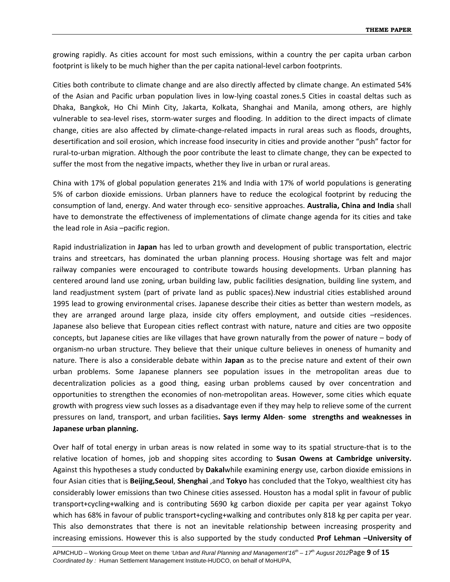growing rapidly. As cities account for most such emissions, within a country the per capita urban carbon footprint is likely to be much higher than the per capita national‐level carbon footprints.

Cities both contribute to climate change and are also directly affected by climate change. An estimated 54% of the Asian and Pacific urban population lives in low‐lying coastal zones.[5](http://www.unescap.org/stat/data/syb2011/I-People/Urbanization.asp#5) Cities in coastal deltas such as Dhaka, Bangkok, Ho Chi Minh City, Jakarta, Kolkata, Shanghai and Manila, among others, are highly vulnerable to sea‐level rises, storm‐water surges and flooding. In addition to the direct impacts of climate change, cities are also affected by climate‐change‐related impacts in rural areas such as floods, droughts, desertification and soil erosion, which increase food insecurity in cities and provide another "push" factor for rural‐to‐urban migration. Although the poor contribute the least to climate change, they can be expected to suffer the most from the negative impacts, whether they live in urban or rural areas.

China with 17% of global population generates 21% and India with 17% of world populations is generating 5% of carbon dioxide emissions. Urban planners have to reduce the ecological footprint by reducing the consumption of land, energy. And water through eco‐ sensitive approaches. **Australia, China and India** shall have to demonstrate the effectiveness of implementations of climate change agenda for its cities and take the lead role in Asia –pacific region.

Rapid industrialization in **Japan** has led to urban growth and development of public transportation, electric trains and streetcars, has dominated the urban planning process. Housing shortage was felt and major railway companies were encouraged to contribute towards housing developments. Urban planning has centered around land use zoning, urban building law, public facilities designation, building line system, and land readjustment system (part of private land as public spaces).New industrial cities established around 1995 lead to growing environmental crises. Japanese describe their cities as better than western models, as they are arranged around large plaza, inside city offers employment, and outside cities –residences. Japanese also believe that European cities reflect contrast with nature, nature and cities are two opposite concepts, but Japanese cities are like villages that have grown naturally from the power of nature – body of organism‐no urban structure. They believe that their unique culture believes in oneness of humanity and nature. There is also a considerable debate within **Japan** as to the precise nature and extent of their own urban problems. Some Japanese planners see population issues in the metropolitan areas due to decentralization policies as a good thing, easing urban problems caused by over concentration and opportunities to strengthen the economies of non‐metropolitan areas. However, some cities which equate growth with progress view such losses as a disadvantage even if they may help to relieve some of the current pressures on land, transport, and urban facilities**. Says Iermy Alden**‐ **some strengths and weaknesses in Japanese urban planning.** 

Over half of total energy in urban areas is now related in some way to its spatial structure‐that is to the relative location of homes, job and shopping sites according to **Susan Owens at Cambridge university.** Against this hypotheses a study conducted by **Dakal**while examining energy use, carbon dioxide emissions in four Asian cities that is **Beijing,Seoul**, **Shenghai** ,and **Tokyo** has concluded that the Tokyo, wealthiest city has considerably lower emissions than two Chinese cities assessed. Houston has a modal split in favour of public transport+cycling+walking and is contributing 5690 kg carbon dioxide per capita per year against Tokyo which has 68% in favour of public transport+cycling+walking and contributes only 818 kg per capita per year. This also demonstrates that there is not an inevitable relationship between increasing prosperity and increasing emissions. However this is also supported by the study conducted **Prof Lehman –University of**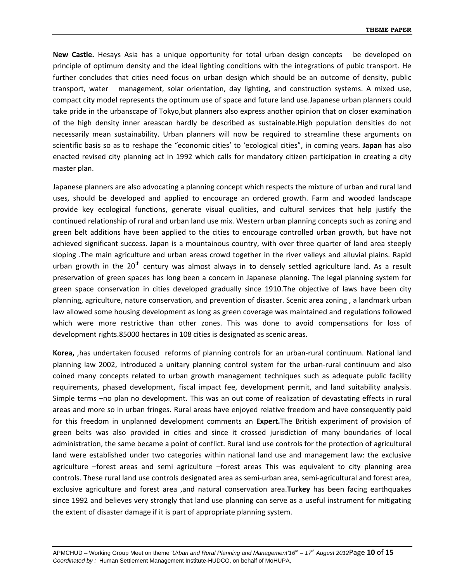**New Castle.** Hesays Asia has a unique opportunity for total urban design concepts be developed on principle of optimum density and the ideal lighting conditions with the integrations of pubic transport. He further concludes that cities need focus on urban design which should be an outcome of density, public transport, water management, solar orientation, day lighting, and construction systems. A mixed use, compact city model represents the optimum use of space and future land use.Japanese urban planners could take pride in the urbanscape of Tokyo,but planners also express another opinion that on closer examination of the high density inner areascan hardly be described as sustainable.High population densities do not necessarily mean sustainability. Urban planners will now be required to streamline these arguments on scientific basis so as to reshape the "economic cities' to 'ecological cities", in coming years. **Japan** has also enacted revised city planning act in 1992 which calls for mandatory citizen participation in creating a city master plan.

Japanese planners are also advocating a planning concept which respects the mixture of urban and rural land uses, should be developed and applied to encourage an ordered growth. Farm and wooded landscape provide key ecological functions, generate visual qualities, and cultural services that help justify the continued relationship of rural and urban land use mix. Western urban planning concepts such as zoning and green belt additions have been applied to the cities to encourage controlled urban growth, but have not achieved significant success. Japan is a mountainous country, with over three quarter of land area steeply sloping .The main agriculture and urban areas crowd together in the river valleys and alluvial plains. Rapid urban growth in the  $20<sup>th</sup>$  century was almost always in to densely settled agriculture land. As a result preservation of green spaces has long been a concern in Japanese planning. The legal planning system for green space conservation in cities developed gradually since 1910.The objective of laws have been city planning, agriculture, nature conservation, and prevention of disaster. Scenic area zoning , a landmark urban law allowed some housing development as long as green coverage was maintained and regulations followed which were more restrictive than other zones. This was done to avoid compensations for loss of development rights.85000 hectares in 108 cities is designated as scenic areas.

**Korea,** ,has undertaken focused reforms of planning controls for an urban‐rural continuum. National land planning law 2002, introduced a unitary planning control system for the urban‐rural continuum and also coined many concepts related to urban growth management techniques such as adequate public facility requirements, phased development, fiscal impact fee, development permit, and land suitability analysis. Simple terms –no plan no development. This was an out come of realization of devastating effects in rural areas and more so in urban fringes. Rural areas have enjoyed relative freedom and have consequently paid for this freedom in unplanned development comments an **Expert.**The British experiment of provision of green belts was also provided in cities and since it crossed jurisdiction of many boundaries of local administration, the same became a point of conflict. Rural land use controls for the protection of agricultural land were established under two categories within national land use and management law: the exclusive agriculture –forest areas and semi agriculture –forest areas This was equivalent to city planning area controls. These rural land use controls designated area as semi‐urban area, semi‐agricultural and forest area, exclusive agriculture and forest area ,and natural conservation area.**Turkey** has been facing earthquakes since 1992 and believes very strongly that land use planning can serve as a useful instrument for mitigating the extent of disaster damage if it is part of appropriate planning system.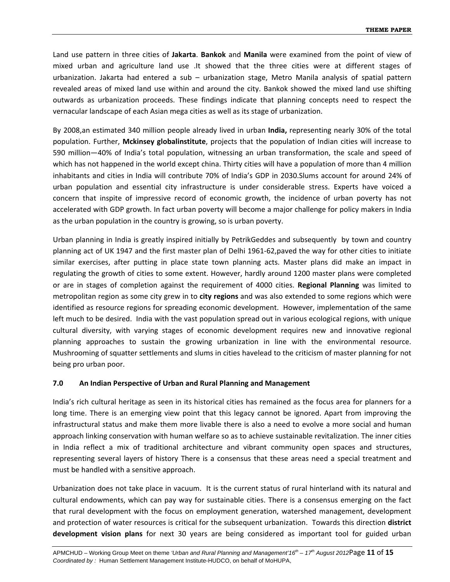Land use pattern in three cities of **Jakarta**. **Bankok** and **Manila** were examined from the point of view of mixed urban and agriculture land use .It showed that the three cities were at different stages of urbanization. Jakarta had entered a sub – urbanization stage, Metro Manila analysis of spatial pattern revealed areas of mixed land use within and around the city. Bankok showed the mixed land use shifting outwards as urbanization proceeds. These findings indicate that planning concepts need to respect the vernacular landscape of each Asian mega cities as well as its stage of urbanization.

By 2008,an estimated 340 million people already lived in urban **India,** representing nearly 30% of the total population. Further, **Mckinsey globalinstitute**, projects that the population of Indian cities will increase to 590 million—40% of India's total population, witnessing an urban transformation, the scale and speed of which has not happened in the world except china. Thirty cities will have a population of more than 4 million inhabitants and cities in India will contribute 70% of India's GDP in 2030.Slums account for around 24% of urban population and essential city infrastructure is under considerable stress. Experts have voiced a concern that inspite of impressive record of economic growth, the incidence of urban poverty has not accelerated with GDP growth. In fact urban poverty will become a major challenge for policy makers in India as the urban population in the country is growing, so is urban poverty.

Urban planning in India is greatly inspired initially by PetrikGeddes and subsequently by town and country planning act of UK 1947 and the first master plan of Delhi 1961‐62,paved the way for other cities to initiate similar exercises, after putting in place state town planning acts. Master plans did make an impact in regulating the growth of cities to some extent. However, hardly around 1200 master plans were completed or are in stages of completion against the requirement of 4000 cities. **Regional Planning** was limited to metropolitan region as some city grew in to **city regions** and was also extended to some regions which were identified as resource regions for spreading economic development. However, implementation of the same left much to be desired. India with the vast population spread out in various ecological regions, with unique cultural diversity, with varying stages of economic development requires new and innovative regional planning approaches to sustain the growing urbanization in line with the environmental resource. Mushrooming of squatter settlements and slums in cities havelead to the criticism of master planning for not being pro urban poor.

#### **7.0 An Indian Perspective of Urban and Rural Planning and Management**

India's rich cultural heritage as seen in its historical cities has remained as the focus area for planners for a long time. There is an emerging view point that this legacy cannot be ignored. Apart from improving the infrastructural status and make them more livable there is also a need to evolve a more social and human approach linking conservation with human welfare so as to achieve sustainable revitalization. The inner cities in India reflect a mix of traditional architecture and vibrant community open spaces and structures, representing several layers of history There is a consensus that these areas need a special treatment and must be handled with a sensitive approach.

Urbanization does not take place in vacuum. It is the current status of rural hinterland with its natural and cultural endowments, which can pay way for sustainable cities. There is a consensus emerging on the fact that rural development with the focus on employment generation, watershed management, development and protection of water resources is critical for the subsequent urbanization. Towards this direction **district development vision plans** for next 30 years are being considered as important tool for guided urban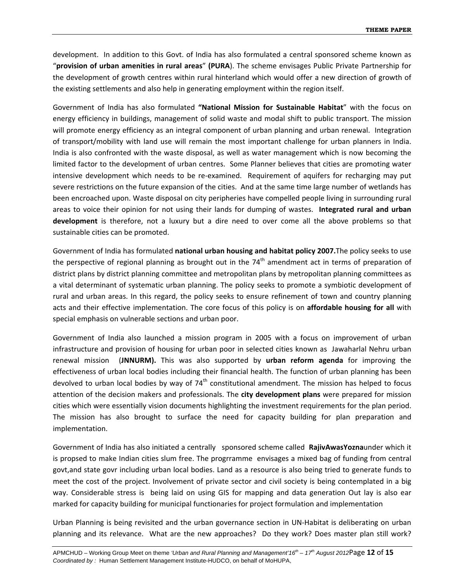development. In addition to this Govt. of India has also formulated a central sponsored scheme known as "**provision of urban amenities in rural areas**" **(PURA**). The scheme envisages Public Private Partnership for the development of growth centres within rural hinterland which would offer a new direction of growth of the existing settlements and also help in generating employment within the region itself.

Government of India has also formulated **"National Mission for Sustainable Habitat**" with the focus on energy efficiency in buildings, management of solid waste and modal shift to public transport. The mission will promote energy efficiency as an integral component of urban planning and urban renewal. Integration of transport/mobility with land use will remain the most important challenge for urban planners in India. India is also confronted with the waste disposal, as well as water management which is now becoming the limited factor to the development of urban centres. Some Planner believes that cities are promoting water intensive development which needs to be re-examined. Requirement of aquifers for recharging may put severe restrictions on the future expansion of the cities. And at the same time large number of wetlands has been encroached upon. Waste disposal on city peripheries have compelled people living in surrounding rural areas to voice their opinion for not using their lands for dumping of wastes. **Integrated rural and urban development** is therefore, not a luxury but a dire need to over come all the above problems so that sustainable cities can be promoted.

Government of India has formulated **national urban housing and habitat policy 2007.**The policy seeks to use the perspective of regional planning as brought out in the  $74<sup>th</sup>$  amendment act in terms of preparation of district plans by district planning committee and metropolitan plans by metropolitan planning committees as a vital determinant of systematic urban planning. The policy seeks to promote a symbiotic development of rural and urban areas. In this regard, the policy seeks to ensure refinement of town and country planning acts and their effective implementation. The core focus of this policy is on **affordable housing for all** with special emphasis on vulnerable sections and urban poor.

Government of India also launched a mission program in 2005 with a focus on improvement of urban infrastructure and provision of housing for urban poor in selected cities known as Jawaharlal Nehru urban renewal mission (**JNNURM).** This was also supported by **urban reform agenda** for improving the effectiveness of urban local bodies including their financial health. The function of urban planning has been devolved to urban local bodies by way of  $74<sup>th</sup>$  constitutional amendment. The mission has helped to focus attention of the decision makers and professionals. The **city development plans** were prepared for mission cities which were essentially vision documents highlighting the investment requirements for the plan period. The mission has also brought to surface the need for capacity building for plan preparation and implementation.

Government of India has also initiated a centrally sponsored scheme called **RajivAwasYozna**under which it is propsed to make Indian cities slum free. The progrramme envisages a mixed bag of funding from central govt,and state govr including urban local bodies. Land as a resource is also being tried to generate funds to meet the cost of the project. Involvement of private sector and civil society is being contemplated in a big way. Considerable stress is being laid on using GIS for mapping and data generation Out lay is also ear marked for capacity building for municipal functionaries for project formulation and implementation

Urban Planning is being revisited and the urban governance section in UN‐Habitat is deliberating on urban planning and its relevance. What are the new approaches? Do they work? Does master plan still work?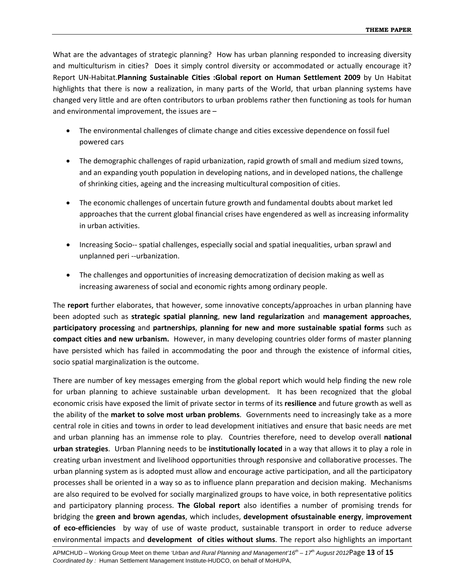What are the advantages of strategic planning? How has urban planning responded to increasing diversity and multiculturism in cities? Does it simply control diversity or accommodated or actually encourage it? Report UN‐Habitat.**Planning Sustainable Cities :Global report on Human Settlement 2009** by Un Habitat highlights that there is now a realization, in many parts of the World, that urban planning systems have changed very little and are often contributors to urban problems rather then functioning as tools for human and environmental improvement, the issues are –

- The environmental challenges of climate change and cities excessive dependence on fossil fuel powered cars
- The demographic challenges of rapid urbanization, rapid growth of small and medium sized towns, and an expanding youth population in developing nations, and in developed nations, the challenge of shrinking cities, ageing and the increasing multicultural composition of cities.
- The economic challenges of uncertain future growth and fundamental doubts about market led approaches that the current global financial crises have engendered as well as increasing informality in urban activities.
- Increasing Socio‐‐ spatial challenges, especially social and spatial inequalities, urban sprawl and unplanned peri ‐‐urbanization.
- The challenges and opportunities of increasing democratization of decision making as well as increasing awareness of social and economic rights among ordinary people.

The **report** further elaborates, that however, some innovative concepts/approaches in urban planning have been adopted such as **strategic spatial planning**, **new land regularization** and **management approaches**, **participatory processing** and **partnerships**, **planning for new and more sustainable spatial forms** such as **compact cities and new urbanism.** However, in many developing countries older forms of master planning have persisted which has failed in accommodating the poor and through the existence of informal cities, socio spatial marginalization is the outcome.

There are number of key messages emerging from the global report which would help finding the new role for urban planning to achieve sustainable urban development. It has been recognized that the global economic crisis have exposed the limit of private sector in terms of its **resilience** and future growth as well as the ability of the **market to solve most urban problems**. Governments need to increasingly take as a more central role in cities and towns in order to lead development initiatives and ensure that basic needs are met and urban planning has an immense role to play. Countries therefore, need to develop overall **national urban strategies**. Urban Planning needs to be **institutionally located** in a way that allows it to play a role in creating urban investment and livelihood opportunities through responsive and collaborative processes. The urban planning system as is adopted must allow and encourage active participation, and all the participatory processes shall be oriented in a way so as to influence plann preparation and decision making. Mechanisms are also required to be evolved for socially marginalized groups to have voice, in both representative politics and participatory planning process. **The Global report** also identifies a number of promising trends for bridging the **green and brown agendas**, which includes, **development ofsustainable energy**, **improvement of eco‐efficiencies** by way of use of waste product, sustainable transport in order to reduce adverse environmental impacts and **development of cities without slums**. The report also highlights an important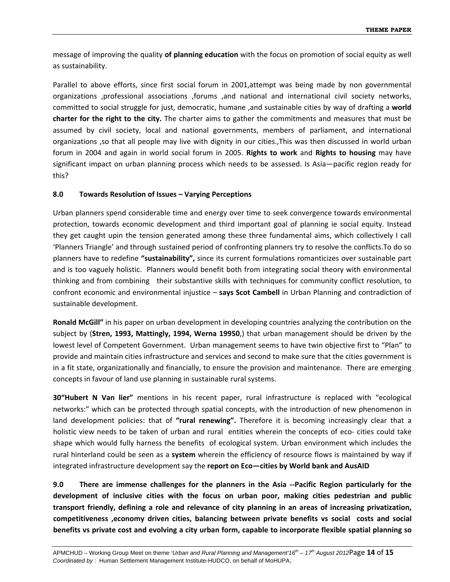message of improving the quality **of planning education** with the focus on promotion of social equity as well as sustainability.

Parallel to above efforts, since first social forum in 2001,attempt was being made by non governmental organizations ,professional associations ,forums ,and national and international civil society networks, committed to social struggle for just, democratic, humane ,and sustainable cities by way of drafting a **world charter for the right to the city.** The charter aims to gather the commitments and measures that must be assumed by civil society, local and national governments, members of parliament, and international organizations ,so that all people may live with dignity in our cities.,This was then discussed in world urban forum in 2004 and again in world social forum in 2005. **Rights to work** and **Rights to housing** may have significant impact on urban planning process which needs to be assessed. Is Asia—pacific region ready for this?

#### **8.0 Towards Resolution of Issues – Varying Perceptions**

Urban planners spend considerable time and energy over time to seek convergence towards environmental protection, towards economic development and third important goal of planning ie social equity. Instead they get caught upin the tension generated among these three fundamental aims, which collectively I call 'Planners Triangle' and through sustained period of confronting planners try to resolve the conflicts.To do so planners have to redefine **"sustainability",** since its current formulations romanticizes over sustainable part and is too vaguely holistic. Planners would benefit both from integrating social theory with environmental thinking and from combining their substantive skills with techniques for community conflict resolution, to confront economic and environmental injustice – **says Scot Cambell** in Urban Planning and contradiction of sustainable development.

**Ronald McGill"** in his paper on urban development in developing countries analyzing the contribution on the subject by (**Stren, 1993, Mattingly, 1994, Werna 19950**,) that urban management should be driven by the lowest level of Competent Government. Urban management seems to have twin objective first to "Plan" to provide and maintain cities infrastructure and services and second to make sure that the cities government is in a fit state, organizationally and financially, to ensure the provision and maintenance. There are emerging concepts in favour of land use planning in sustainable rural systems.

**30"Hubert N Van lier"** mentions in his recent paper, rural infrastructure is replaced with "ecological networks:" which can be protected through spatial concepts, with the introduction of new phenomenon in land development policies: that of **"rural renewing".** Therefore it is becoming increasingly clear that a holistic view needs to be taken of urban and rural entities wherein the concepts of eco- cities could take shape which would fully harness the benefits of ecological system. Urban environment which includes the rural hinterland could be seen as a **system** wherein the efficiency of resource flows is maintained by way if integrated infrastructure development say the **report on Eco—cities by World bank and AusAID**

**9.0 There are immense challenges for the planners in the Asia ‐‐Pacific Region particularly for the development of inclusive cities with the focus on urban poor, making cities pedestrian and public transport friendly, defining a role and relevance of city planning in an areas of increasing privatization, competitiveness ,economy driven cities, balancing between private benefits vs social costs and social** benefits vs private cost and evolving a city urban form, capable to incorporate flexible spatial planning so